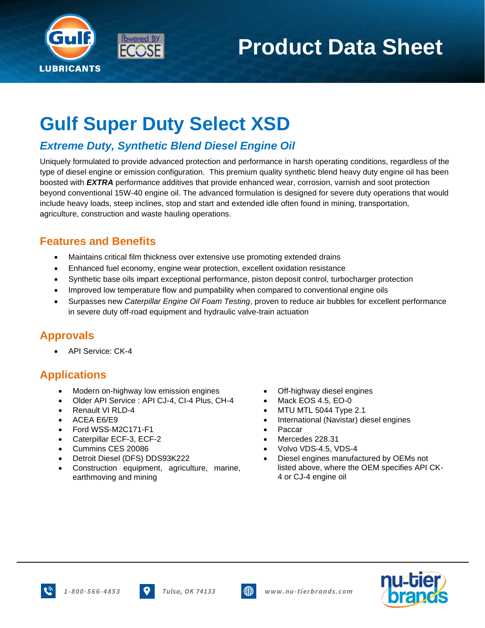

# **Product Data Sheet**

## **Gulf Super Duty Select XSD**

### *Extreme Duty, Synthetic Blend Diesel Engine Oil*

Uniquely formulated to provide advanced protection and performance in harsh operating conditions, regardless of the type of diesel engine or emission configuration.This premium quality synthetic blend heavy duty engine oil has been boosted with *EXTRA* performance additives that provide enhanced wear, corrosion, varnish and soot protection beyond conventional 15W-40 engine oil. The advanced formulation is designed for severe duty operations that would include heavy loads, steep inclines, stop and start and extended idle often found in mining, transportation, agriculture, construction and waste hauling operations.

#### **Features and Benefits**

- Maintains critical film thickness over extensive use promoting extended drains
- Enhanced fuel economy, engine wear protection, excellent oxidation resistance
- Synthetic base oils impart exceptional performance, piston deposit control, turbocharger protection
- Improved low temperature flow and pumpability when compared to conventional engine oils
- Surpasses new *Caterpillar Engine Oil Foam Testing*, proven to reduce air bubbles for excellent performance in severe duty off-road equipment and hydraulic valve-train actuation

#### **Approvals**

• API Service: CK-4

#### **Applications**

- Modern on-highway low emission engines Off-highway diesel engines
- Older API Service : API CJ-4, CI-4 Plus, CH-4 Mack EOS 4.5, EO-0
- 
- 
- Ford WSS-M2C171-F1 Paccar
- Caterpillar ECF-3, ECF-2 Mercedes 228.31
- 
- Detroit Diesel (DFS) DDS93K222
- Construction equipment, agriculture, marine, earthmoving and mining
- 
- 
- Renault VI RLD-4 MTU MTL 5044 Type 2.1
- ACEA E6/E9 International (Navistar) diesel engines
	-
	-
- Cummins CES 20086 Volvo VDS-4.5, VDS-4
	- Diesel engines manufactured by OEMs not listed above, where the OEM specifies API CK-4 or CJ-4 engine oil